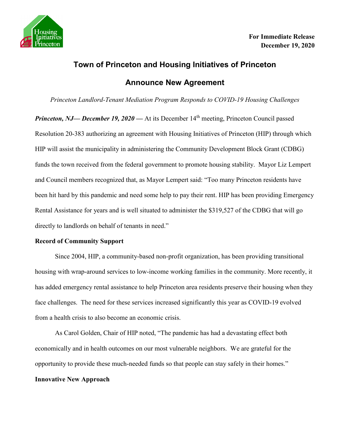

## **Town of Princeton and Housing Initiatives of Princeton Announce New Agreement**

*Princeton Landlord-Tenant Mediation Program Responds to COVID-19 Housing Challenges*

*Princeton, NJ— December 19, 2020* — At its December 14<sup>th</sup> meeting, Princeton Council passed Resolution 20-383 authorizing an agreement with Housing Initiatives of Princeton (HIP) through which HIP will assist the municipality in administering the Community Development Block Grant (CDBG) funds the town received from the federal government to promote housing stability. Mayor Liz Lempert and Council members recognized that, as Mayor Lempert said: "Too many Princeton residents have been hit hard by this pandemic and need some help to pay their rent. HIP has been providing Emergency Rental Assistance for years and is well situated to administer the \$319,527 of the CDBG that will go directly to landlords on behalf of tenants in need."

## **Record of Community Support**

Since 2004, HIP, a community-based non-profit organization, has been providing transitional housing with wrap-around services to low-income working families in the community. More recently, it has added emergency rental assistance to help Princeton area residents preserve their housing when they face challenges. The need for these services increased significantly this year as COVID-19 evolved from a health crisis to also become an economic crisis.

As Carol Golden, Chair of HIP noted, "The pandemic has had a devastating effect both economically and in health outcomes on our most vulnerable neighbors. We are grateful for the opportunity to provide these much-needed funds so that people can stay safely in their homes."

## **Innovative New Approach**